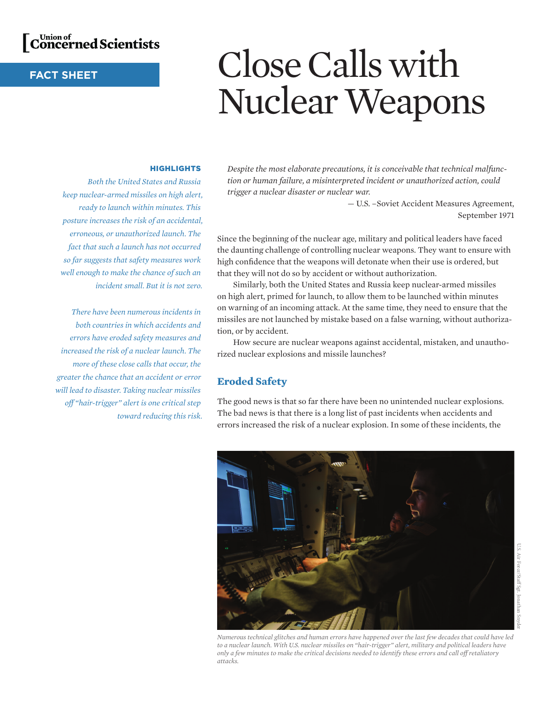

# **FACT SHEET**

# Close Calls with Nuclear Weapons

#### **HIGHLIGHTS**

*Both the United States and Russia keep nuclear-armed missiles on high alert, ready to launch within minutes. This posture increases the risk of an accidental, erroneous, or unauthorized launch. The fact that such a launch has not occurred so far suggests that safety measures work well enough to make the chance of such an incident small. But it is not zero.*

*There have been numerous incidents in both countries in which accidents and errors have eroded safety measures and increased the risk of a nuclear launch. The more of these close calls that occur, the greater the chance that an accident or error will lead to disaster. Taking nuclear missiles off "hair-trigger" alert is one critical step toward reducing this risk.* *Despite the most elaborate precautions, it is conceivable that technical malfunction or human failure, a misinterpreted incident or unauthorized action, could trigger a nuclear disaster or nuclear war.*

> — U.S. –Soviet Accident Measures Agreement, September 1971

Since the beginning of the nuclear age, military and political leaders have faced the daunting challenge of controlling nuclear weapons. They want to ensure with high confidence that the weapons will detonate when their use is ordered, but that they will not do so by accident or without authorization.

Similarly, both the United States and Russia keep nuclear-armed missiles on high alert, primed for launch, to allow them to be launched within minutes on warning of an incoming attack. At the same time, they need to ensure that the missiles are not launched by mistake based on a false warning, without authorization, or by accident.

How secure are nuclear weapons against accidental, mistaken, and unauthorized nuclear explosions and missile launches?

# **Eroded Safety**

The good news is that so far there have been no unintended nuclear explosions. The bad news is that there is a long list of past incidents when accidents and errors increased the risk of a nuclear explosion. In some of these incidents, the



U.S. Air Force/Staff Sgt. Jonathan Snyder

*Numerous technical glitches and human errors have happened over the last few decades that could have led to a nuclear launch. With U.S. nuclear missiles on "hair-trigger" alert, military and political leaders have only a few minutes to make the critical decisions needed to identify these errors and call off retaliatory attacks.*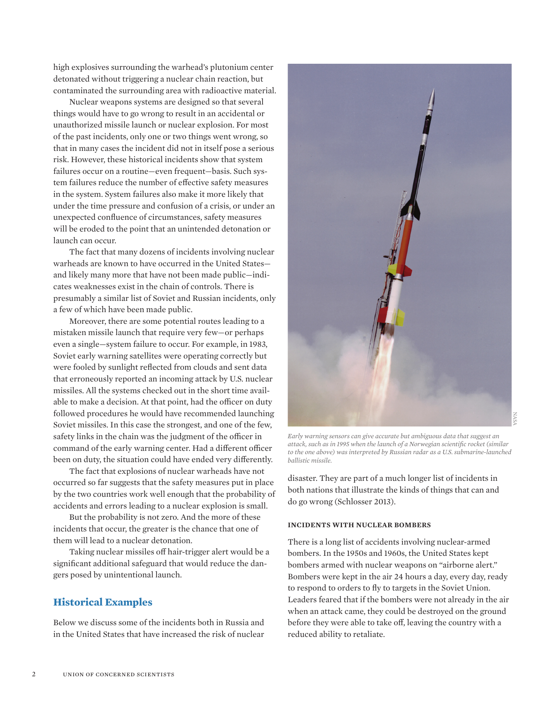high explosives surrounding the warhead's plutonium center detonated without triggering a nuclear chain reaction, but contaminated the surrounding area with radioactive material.

Nuclear weapons systems are designed so that several things would have to go wrong to result in an accidental or unauthorized missile launch or nuclear explosion. For most of the past incidents, only one or two things went wrong, so that in many cases the incident did not in itself pose a serious risk. However, these historical incidents show that system failures occur on a routine—even frequent—basis. Such system failures reduce the number of effective safety measures in the system. System failures also make it more likely that under the time pressure and confusion of a crisis, or under an unexpected confluence of circumstances, safety measures will be eroded to the point that an unintended detonation or launch can occur.

The fact that many dozens of incidents involving nuclear warheads are known to have occurred in the United States and likely many more that have not been made public—indicates weaknesses exist in the chain of controls. There is presumably a similar list of Soviet and Russian incidents, only a few of which have been made public.

Moreover, there are some potential routes leading to a mistaken missile launch that require very few—or perhaps even a single—system failure to occur. For example, in 1983, Soviet early warning satellites were operating correctly but were fooled by sunlight reflected from clouds and sent data that erroneously reported an incoming attack by U.S. nuclear missiles. All the systems checked out in the short time available to make a decision. At that point, had the officer on duty followed procedures he would have recommended launching Soviet missiles. In this case the strongest, and one of the few, safety links in the chain was the judgment of the officer in command of the early warning center. Had a different officer been on duty, the situation could have ended very differently.

The fact that explosions of nuclear warheads have not occurred so far suggests that the safety measures put in place by the two countries work well enough that the probability of accidents and errors leading to a nuclear explosion is small.

But the probability is not zero. And the more of these incidents that occur, the greater is the chance that one of them will lead to a nuclear detonation.

Taking nuclear missiles off hair-trigger alert would be a significant additional safeguard that would reduce the dangers posed by unintentional launch.

# **Historical Examples**

Below we discuss some of the incidents both in Russia and in the United States that have increased the risk of nuclear



*Early warning sensors can give accurate but ambiguous data that suggest an attack, such as in 1995 when the launch of a Norwegian scientific rocket (similar to the one above) was interpreted by Russian radar as a U.S. submarine-launched ballistic missile.*

disaster. They are part of a much longer list of incidents in both nations that illustrate the kinds of things that can and do go wrong (Schlosser 2013).

#### **Incidents with Nuclear Bombers**

There is a long list of accidents involving nuclear-armed bombers. In the 1950s and 1960s, the United States kept bombers armed with nuclear weapons on "airborne alert." Bombers were kept in the air 24 hours a day, every day, ready to respond to orders to fly to targets in the Soviet Union. Leaders feared that if the bombers were not already in the air when an attack came, they could be destroyed on the ground before they were able to take off, leaving the country with a reduced ability to retaliate.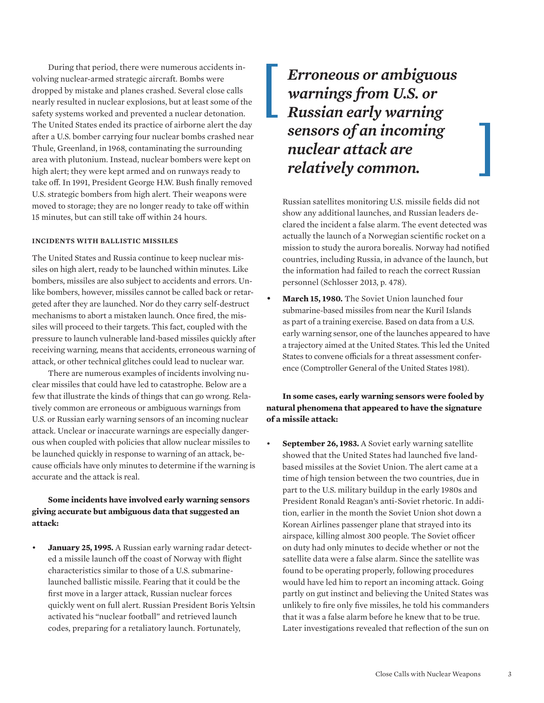During that period, there were numerous accidents involving nuclear-armed strategic aircraft. Bombs were dropped by mistake and planes crashed. Several close calls nearly resulted in nuclear explosions, but at least some of the safety systems worked and prevented a nuclear detonation. The United States ended its practice of airborne alert the day after a U.S. bomber carrying four nuclear bombs crashed near Thule, Greenland, in 1968, contaminating the surrounding area with plutonium. Instead, nuclear bombers were kept on high alert; they were kept armed and on runways ready to take off. In 1991, President George H.W. Bush finally removed U.S. strategic bombers from high alert. Their weapons were moved to storage; they are no longer ready to take off within 15 minutes, but can still take off within 24 hours.

#### **Incidents with Ballistic Missiles**

The United States and Russia continue to keep nuclear missiles on high alert, ready to be launched within minutes. Like bombers, missiles are also subject to accidents and errors. Unlike bombers, however, missiles cannot be called back or retargeted after they are launched. Nor do they carry self-destruct mechanisms to abort a mistaken launch. Once fired, the missiles will proceed to their targets. This fact, coupled with the pressure to launch vulnerable land-based missiles quickly after receiving warning, means that accidents, erroneous warning of attack, or other technical glitches could lead to nuclear war.

There are numerous examples of incidents involving nuclear missiles that could have led to catastrophe. Below are a few that illustrate the kinds of things that can go wrong. Relatively common are erroneous or ambiguous warnings from U.S. or Russian early warning sensors of an incoming nuclear attack. Unclear or inaccurate warnings are especially dangerous when coupled with policies that allow nuclear missiles to be launched quickly in response to warning of an attack, because officials have only minutes to determine if the warning is accurate and the attack is real.

## **Some incidents have involved early warning sensors giving accurate but ambiguous data that suggested an attack:**

• **January 25, 1995.** A Russian early warning radar detected a missile launch off the coast of Norway with flight characteristics similar to those of a U.S. submarinelaunched ballistic missile. Fearing that it could be the first move in a larger attack, Russian nuclear forces quickly went on full alert. Russian President Boris Yeltsin activated his "nuclear football" and retrieved launch codes, preparing for a retaliatory launch. Fortunately,

*Erroneous or ambiguous warnings from U.S. or Russian early warning sensors of an incoming nuclear attack are relatively common.*

Russian satellites monitoring U.S. missile fields did not show any additional launches, and Russian leaders declared the incident a false alarm. The event detected was actually the launch of a Norwegian scientific rocket on a mission to study the aurora borealis. Norway had notified countries, including Russia, in advance of the launch, but the information had failed to reach the correct Russian personnel (Schlosser 2013, p. 478).

• **March 15, 1980.** The Soviet Union launched four submarine-based missiles from near the Kuril Islands as part of a training exercise. Based on data from a U.S. early warning sensor, one of the launches appeared to have a trajectory aimed at the United States. This led the United States to convene officials for a threat assessment conference (Comptroller General of the United States 1981).

#### **In some cases, early warning sensors were fooled by natural phenomena that appeared to have the signature of a missile attack:**

• **September 26, 1983.** A Soviet early warning satellite showed that the United States had launched five landbased missiles at the Soviet Union. The alert came at a time of high tension between the two countries, due in part to the U.S. military buildup in the early 1980s and President Ronald Reagan's anti-Soviet rhetoric. In addition, earlier in the month the Soviet Union shot down a Korean Airlines passenger plane that strayed into its airspace, killing almost 300 people. The Soviet officer on duty had only minutes to decide whether or not the satellite data were a false alarm. Since the satellite was found to be operating properly, following procedures would have led him to report an incoming attack. Going partly on gut instinct and believing the United States was unlikely to fire only five missiles, he told his commanders that it was a false alarm before he knew that to be true. Later investigations revealed that reflection of the sun on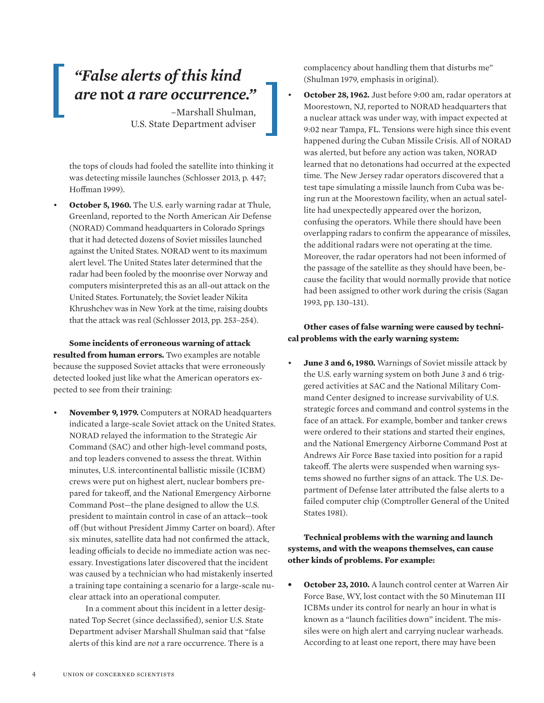# *"False alerts of this kind are* **not** *a rare occurrence."*

–Marshall Shulman, U.S. State Department adviser

the tops of clouds had fooled the satellite into thinking it was detecting missile launches (Schlosser 2013, p. 447; Hoffman 1999).

• **October 5, 1960.** The U.S. early warning radar at Thule, Greenland, reported to the North American Air Defense (NORAD) Command headquarters in Colorado Springs that it had detected dozens of Soviet missiles launched against the United States. NORAD went to its maximum alert level. The United States later determined that the radar had been fooled by the moonrise over Norway and computers misinterpreted this as an all-out attack on the United States. Fortunately, the Soviet leader Nikita Khrushchev was in New York at the time, raising doubts that the attack was real (Schlosser 2013, pp. 253–254).

**Some incidents of erroneous warning of attack resulted from human errors.** Two examples are notable because the supposed Soviet attacks that were erroneously detected looked just like what the American operators expected to see from their training:

• **November 9, 1979.** Computers at NORAD headquarters indicated a large-scale Soviet attack on the United States. NORAD relayed the information to the Strategic Air Command (SAC) and other high-level command posts, and top leaders convened to assess the threat. Within minutes, U.S. intercontinental ballistic missile (ICBM) crews were put on highest alert, nuclear bombers prepared for takeoff, and the National Emergency Airborne Command Post—the plane designed to allow the U.S. president to maintain control in case of an attack—took off (but without President Jimmy Carter on board). After six minutes, satellite data had not confirmed the attack, leading officials to decide no immediate action was necessary. Investigations later discovered that the incident was caused by a technician who had mistakenly inserted a training tape containing a scenario for a large-scale nuclear attack into an operational computer.

In a comment about this incident in a letter designated Top Secret (since declassified), senior U.S. State Department adviser Marshall Shulman said that "false alerts of this kind are *not* a rare occurrence. There is a

complacency about handling them that disturbs me" (Shulman 1979, emphasis in original).

• **October 28, 1962.** Just before 9:00 am, radar operators at Moorestown, NJ, reported to NORAD headquarters that a nuclear attack was under way, with impact expected at 9:02 near Tampa, FL. Tensions were high since this event happened during the Cuban Missile Crisis. All of NORAD was alerted, but before any action was taken, NORAD learned that no detonations had occurred at the expected time. The New Jersey radar operators discovered that a test tape simulating a missile launch from Cuba was being run at the Moorestown facility, when an actual satellite had unexpectedly appeared over the horizon, confusing the operators. While there should have been overlapping radars to confirm the appearance of missiles, the additional radars were not operating at the time. Moreover, the radar operators had not been informed of the passage of the satellite as they should have been, because the facility that would normally provide that notice had been assigned to other work during the crisis (Sagan 1993, pp. 130–131).

# **Other cases of false warning were caused by technical problems with the early warning system:**

• **June 3 and 6, 1980.** Warnings of Soviet missile attack by the U.S. early warning system on both June 3 and 6 triggered activities at SAC and the National Military Command Center designed to increase survivability of U.S. strategic forces and command and control systems in the face of an attack. For example, bomber and tanker crews were ordered to their stations and started their engines, and the National Emergency Airborne Command Post at Andrews Air Force Base taxied into position for a rapid takeoff. The alerts were suspended when warning systems showed no further signs of an attack. The U.S. Department of Defense later attributed the false alerts to a failed computer chip (Comptroller General of the United States 1981).

## **Technical problems with the warning and launch systems, and with the weapons themselves, can cause other kinds of problems. For example:**

**October 23, 2010.** A launch control center at Warren Air Force Base, WY, lost contact with the 50 Minuteman III ICBMs under its control for nearly an hour in what is known as a "launch facilities down" incident. The missiles were on high alert and carrying nuclear warheads. According to at least one report, there may have been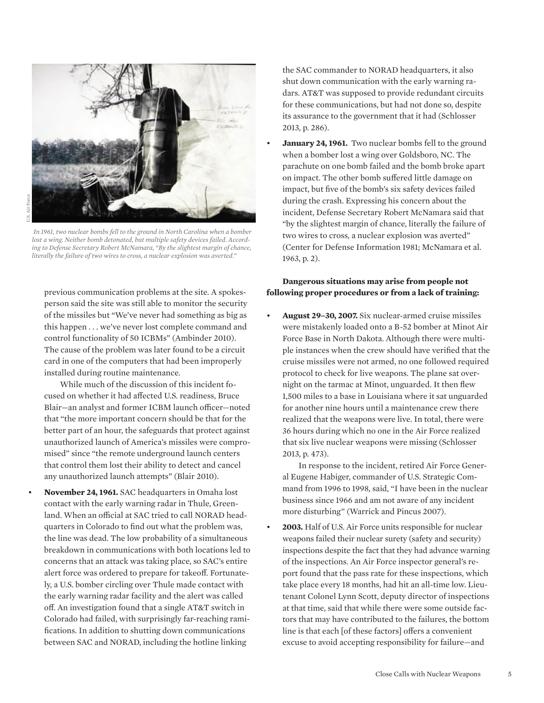

 *In 1961, two nuclear bombs fell to the ground in North Carolina when a bomber lost a wing. Neither bomb detonated, but multiple safety devices failed. According to Defense Secretary Robert McNamara, "By the slightest margin of chance, literally the failure of two wires to cross, a nuclear explosion was averted."* 

previous communication problems at the site. A spokesperson said the site was still able to monitor the security of the missiles but "We've never had something as big as this happen . . . we've never lost complete command and control functionality of 50 ICBMs" (Ambinder 2010). The cause of the problem was later found to be a circuit card in one of the computers that had been improperly installed during routine maintenance.

While much of the discussion of this incident focused on whether it had affected U.S. readiness, Bruce Blair—an analyst and former ICBM launch officer—noted that "the more important concern should be that for the better part of an hour, the safeguards that protect against unauthorized launch of America's missiles were compromised" since "the remote underground launch centers that control them lost their ability to detect and cancel any unauthorized launch attempts" (Blair 2010).

• **November 24, 1961.** SAC headquarters in Omaha lost contact with the early warning radar in Thule, Greenland. When an official at SAC tried to call NORAD headquarters in Colorado to find out what the problem was, the line was dead. The low probability of a simultaneous breakdown in communications with both locations led to concerns that an attack was taking place, so SAC's entire alert force was ordered to prepare for takeoff. Fortunately, a U.S. bomber circling over Thule made contact with the early warning radar facility and the alert was called off. An investigation found that a single AT&T switch in Colorado had failed, with surprisingly far-reaching ramifications. In addition to shutting down communications between SAC and NORAD, including the hotline linking

the SAC commander to NORAD headquarters, it also shut down communication with the early warning radars. AT&T was supposed to provide redundant circuits for these communications, but had not done so, despite its assurance to the government that it had (Schlosser 2013, p. 286).

**January 24, 1961.** Two nuclear bombs fell to the ground when a bomber lost a wing over Goldsboro, NC. The parachute on one bomb failed and the bomb broke apart on impact. The other bomb suffered little damage on impact, but five of the bomb's six safety devices failed during the crash. Expressing his concern about the incident, Defense Secretary Robert McNamara said that "by the slightest margin of chance, literally the failure of two wires to cross, a nuclear explosion was averted" (Center for Defense Information 1981; McNamara et al. 1963, p. 2).

#### **Dangerous situations may arise from people not following proper procedures or from a lack of training:**

• **August 29–30, 2007.** Six nuclear-armed cruise missiles were mistakenly loaded onto a B-52 bomber at Minot Air Force Base in North Dakota. Although there were multiple instances when the crew should have verified that the cruise missiles were not armed, no one followed required protocol to check for live weapons. The plane sat overnight on the tarmac at Minot, unguarded. It then flew 1,500 miles to a base in Louisiana where it sat unguarded for another nine hours until a maintenance crew there realized that the weapons were live. In total, there were 36 hours during which no one in the Air Force realized that six live nuclear weapons were missing (Schlosser 2013, p. 473).

In response to the incident, retired Air Force General Eugene Habiger, commander of U.S. Strategic Command from 1996 to 1998, said, "I have been in the nuclear business since 1966 and am not aware of any incident more disturbing" (Warrick and Pincus 2007).

• **2003.** Half of U.S. Air Force units responsible for nuclear weapons failed their nuclear surety (safety and security) inspections despite the fact that they had advance warning of the inspections. An Air Force inspector general's report found that the pass rate for these inspections, which take place every 18 months, had hit an all-time low. Lieutenant Colonel Lynn Scott, deputy director of inspections at that time, said that while there were some outside factors that may have contributed to the failures, the bottom line is that each [of these factors] offers a convenient excuse to avoid accepting responsibility for failure—and